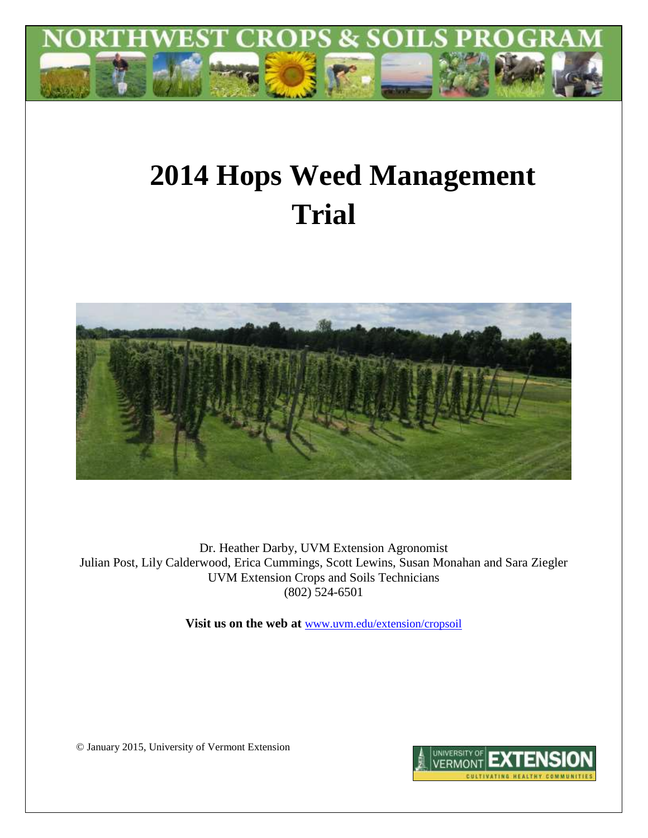

# **2014 Hops Weed Management Trial**



Dr. Heather Darby, UVM Extension Agronomist Julian Post, Lily Calderwood, Erica Cummings, Scott Lewins, Susan Monahan and Sara Ziegler UVM Extension Crops and Soils Technicians (802) 524-6501

**Visit us on the web at** [www.uvm.edu/extension/cropsoil](http://www.uvm.edu/extension/cropsoil)

© January 2015, University of Vermont Extension

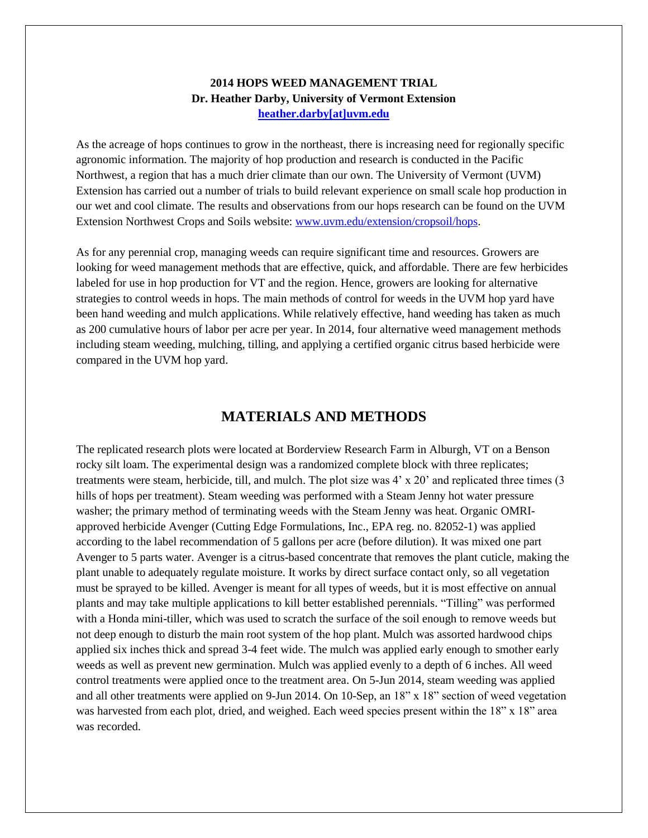#### **2014 HOPS WEED MANAGEMENT TRIAL Dr. Heather Darby, University of Vermont Extension [heather.darby\[at\]uvm.edu](mailto:heather.darby@uvm.edu?subject=2012%20Hops%20Variety%20Trial%20Report)**

As the acreage of hops continues to grow in the northeast, there is increasing need for regionally specific agronomic information. The majority of hop production and research is conducted in the Pacific Northwest, a region that has a much drier climate than our own. The University of Vermont (UVM) Extension has carried out a number of trials to build relevant experience on small scale hop production in our wet and cool climate. The results and observations from our hops research can be found on the UVM Extension Northwest Crops and Soils website: [www.uvm.edu/extension/cropsoil/hops.](http://www.uvm.edu/extension/cropsoil/hops)

As for any perennial crop, managing weeds can require significant time and resources. Growers are looking for weed management methods that are effective, quick, and affordable. There are few herbicides labeled for use in hop production for VT and the region. Hence, growers are looking for alternative strategies to control weeds in hops. The main methods of control for weeds in the UVM hop yard have been hand weeding and mulch applications. While relatively effective, hand weeding has taken as much as 200 cumulative hours of labor per acre per year. In 2014, four alternative weed management methods including steam weeding, mulching, tilling, and applying a certified organic citrus based herbicide were compared in the UVM hop yard.

#### **MATERIALS AND METHODS**

The replicated research plots were located at Borderview Research Farm in Alburgh, VT on a Benson rocky silt loam. The experimental design was a randomized complete block with three replicates; treatments were steam, herbicide, till, and mulch. The plot size was 4' x 20' and replicated three times (3 hills of hops per treatment). Steam weeding was performed with a Steam Jenny hot water pressure washer; the primary method of terminating weeds with the Steam Jenny was heat. Organic OMRIapproved herbicide Avenger (Cutting Edge Formulations, Inc., EPA reg. no. 82052-1) was applied according to the label recommendation of 5 gallons per acre (before dilution). It was mixed one part Avenger to 5 parts water. Avenger is a citrus-based concentrate that removes the plant cuticle, making the plant unable to adequately regulate moisture. It works by direct surface contact only, so all vegetation must be sprayed to be killed. Avenger is meant for all types of weeds, but it is most effective on annual plants and may take multiple applications to kill better established perennials. "Tilling" was performed with a Honda mini-tiller, which was used to scratch the surface of the soil enough to remove weeds but not deep enough to disturb the main root system of the hop plant. Mulch was assorted hardwood chips applied six inches thick and spread 3-4 feet wide. The mulch was applied early enough to smother early weeds as well as prevent new germination. Mulch was applied evenly to a depth of 6 inches. All weed control treatments were applied once to the treatment area. On 5-Jun 2014, steam weeding was applied and all other treatments were applied on 9-Jun 2014. On 10-Sep, an 18" x 18" section of weed vegetation was harvested from each plot, dried, and weighed. Each weed species present within the 18" x 18" area was recorded.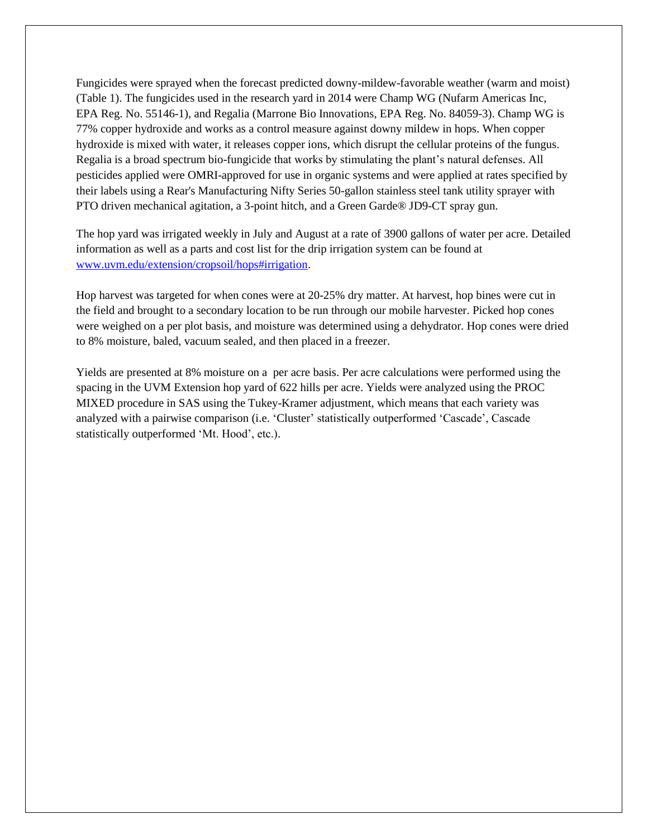Fungicides were sprayed when the forecast predicted downy-mildew-favorable weather (warm and moist) (Table 1). The fungicides used in the research yard in 2014 were Champ WG (Nufarm Americas Inc, EPA Reg. No. 55146-1), and Regalia (Marrone Bio Innovations, EPA Reg. No. 84059-3). Champ WG is 77% copper hydroxide and works as a control measure against downy mildew in hops. When copper hydroxide is mixed with water, it releases copper ions, which disrupt the cellular proteins of the fungus. Regalia is a broad spectrum bio-fungicide that works by stimulating the plant's natural defenses. All pesticides applied were OMRI-approved for use in organic systems and were applied at rates specified by their labels using a Rear's Manufacturing Nifty Series 50-gallon stainless steel tank utility sprayer with PTO driven mechanical agitation, a 3-point hitch, and a Green Garde® JD9-CT spray gun.

The hop yard was irrigated weekly in July and August at a rate of 3900 gallons of water per acre. Detailed information as well as a parts and cost list for the drip irrigation system can be found at [www.uvm.edu/extension/cropsoil/hops#irrigation.](http://www.uvm.edu/extension/cropsoil/hops#irrigation)

Hop harvest was targeted for when cones were at 20-25% dry matter. At harvest, hop bines were cut in the field and brought to a secondary location to be run through our mobile harvester. Picked hop cones were weighed on a per plot basis, and moisture was determined using a dehydrator. Hop cones were dried to 8% moisture, baled, vacuum sealed, and then placed in a freezer.

Yields are presented at 8% moisture on a per acre basis. Per acre calculations were performed using the spacing in the UVM Extension hop yard of 622 hills per acre. Yields were analyzed using the PROC MIXED procedure in SAS using the Tukey-Kramer adjustment, which means that each variety was analyzed with a pairwise comparison (i.e. 'Cluster' statistically outperformed 'Cascade', Cascade statistically outperformed 'Mt. Hood', etc.).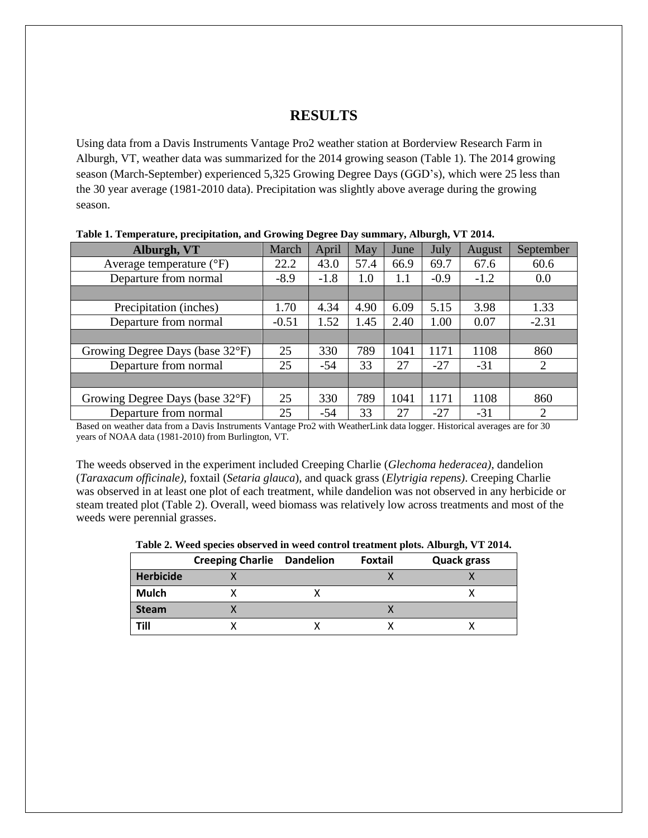#### **RESULTS**

Using data from a Davis Instruments Vantage Pro2 weather station at Borderview Research Farm in Alburgh, VT, weather data was summarized for the 2014 growing season (Table 1). The 2014 growing season (March-September) experienced 5,325 Growing Degree Days (GGD's), which were 25 less than the 30 year average (1981-2010 data). Precipitation was slightly above average during the growing season.

| Alburgh, VT                         | March   | April  | May  | June | July   | August | September      |
|-------------------------------------|---------|--------|------|------|--------|--------|----------------|
| Average temperature $({}^{\circ}F)$ | 22.2    | 43.0   | 57.4 | 66.9 | 69.7   | 67.6   | 60.6           |
| Departure from normal               | $-8.9$  | $-1.8$ | 1.0  | 1.1  | $-0.9$ | $-1.2$ | 0.0            |
|                                     |         |        |      |      |        |        |                |
| Precipitation (inches)              | 1.70    | 4.34   | 4.90 | 6.09 | 5.15   | 3.98   | 1.33           |
| Departure from normal               | $-0.51$ | 1.52   | 1.45 | 2.40 | 1.00   | 0.07   | $-2.31$        |
|                                     |         |        |      |      |        |        |                |
| Growing Degree Days (base 32°F)     | 25      | 330    | 789  | 1041 | 1171   | 1108   | 860            |
| Departure from normal               | 25      | $-54$  | 33   | 27   | $-27$  | $-31$  | 2              |
|                                     |         |        |      |      |        |        |                |
| Growing Degree Days (base 32°F)     | 25      | 330    | 789  | 1041 | 1171   | 1108   | 860            |
| Departure from normal               | 25      | $-54$  | 33   | 27   | -27    | $-31$  | $\overline{2}$ |

|  | Table 1. Temperature, precipitation, and Growing Degree Day summary, Alburgh, VT 2014. |  |  |
|--|----------------------------------------------------------------------------------------|--|--|
|  |                                                                                        |  |  |

Based on weather data from a Davis Instruments Vantage Pro2 with WeatherLink data logger. Historical averages are for 30 years of NOAA data (1981-2010) from Burlington, VT.

The weeds observed in the experiment included Creeping Charlie (*Glechoma hederacea)*, dandelion (*Taraxacum officinale)*, foxtail (*Setaria glauca*), and quack grass (*Elytrigia repens)*. Creeping Charlie was observed in at least one plot of each treatment, while dandelion was not observed in any herbicide or steam treated plot (Table 2). Overall, weed biomass was relatively low across treatments and most of the weeds were perennial grasses.

**Table 2. Weed species observed in weed control treatment plots. Alburgh, VT 2014.**

|                  | <b>Creeping Charlie Dandelion</b> | <b>Foxtail</b> | <b>Quack grass</b> |
|------------------|-----------------------------------|----------------|--------------------|
| <b>Herbicide</b> |                                   |                |                    |
| <b>Mulch</b>     |                                   |                |                    |
| <b>Steam</b>     |                                   |                |                    |
| Till             |                                   |                |                    |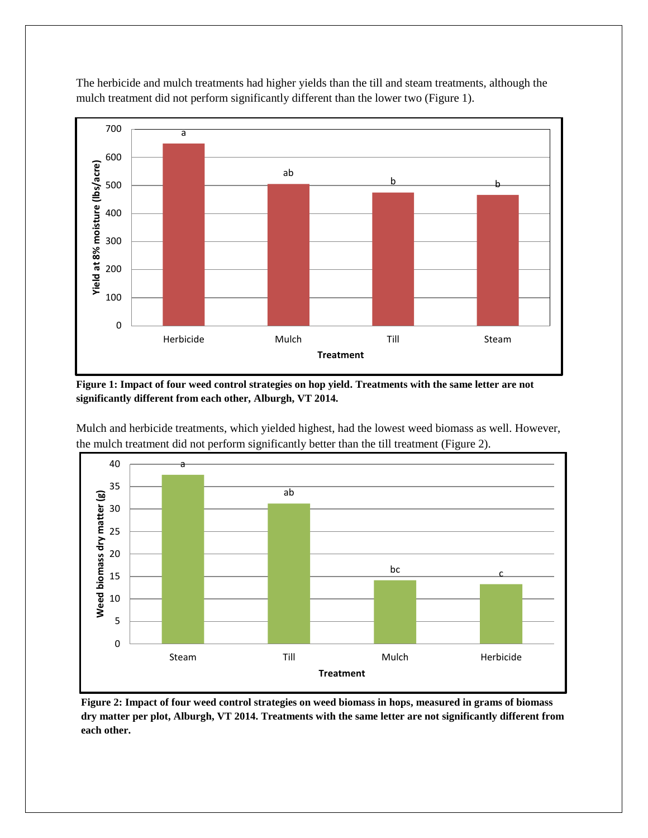

The herbicide and mulch treatments had higher yields than the till and steam treatments, although the mulch treatment did not perform significantly different than the lower two (Figure 1).

**Figure 1: Impact of four weed control strategies on hop yield. Treatments with the same letter are not significantly different from each other, Alburgh, VT 2014.**



Mulch and herbicide treatments, which yielded highest, had the lowest weed biomass as well. However, the mulch treatment did not perform significantly better than the till treatment (Figure 2).

**Figure 2: Impact of four weed control strategies on weed biomass in hops, measured in grams of biomass dry matter per plot, Alburgh, VT 2014. Treatments with the same letter are not significantly different from each other.**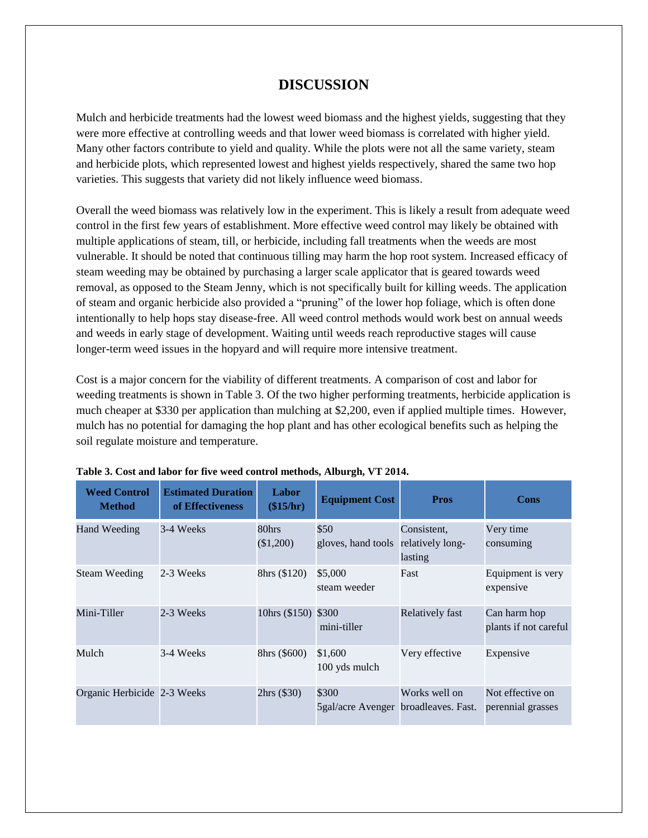## **DISCUSSION**

Mulch and herbicide treatments had the lowest weed biomass and the highest yields, suggesting that they were more effective at controlling weeds and that lower weed biomass is correlated with higher yield. Many other factors contribute to yield and quality. While the plots were not all the same variety, steam and herbicide plots, which represented lowest and highest yields respectively, shared the same two hop varieties. This suggests that variety did not likely influence weed biomass.

Overall the weed biomass was relatively low in the experiment. This is likely a result from adequate weed control in the first few years of establishment. More effective weed control may likely be obtained with multiple applications of steam, till, or herbicide, including fall treatments when the weeds are most vulnerable. It should be noted that continuous tilling may harm the hop root system. Increased efficacy of steam weeding may be obtained by purchasing a larger scale applicator that is geared towards weed removal, as opposed to the Steam Jenny, which is not specifically built for killing weeds. The application of steam and organic herbicide also provided a "pruning" of the lower hop foliage, which is often done intentionally to help hops stay disease-free. All weed control methods would work best on annual weeds and weeds in early stage of development. Waiting until weeds reach reproductive stages will cause longer-term weed issues in the hopyard and will require more intensive treatment.

Cost is a major concern for the viability of different treatments. A comparison of cost and labor for weeding treatments is shown in Table 3. Of the two higher performing treatments, herbicide application is much cheaper at \$330 per application than mulching at \$2,200, even if applied multiple times. However, mulch has no potential for damaging the hop plant and has other ecological benefits such as helping the soil regulate moisture and temperature.

| <b>Weed Control</b><br><b>Method</b> | <b>Estimated Duration</b><br>of Effectiveness | Labor<br>(\$15/hr)  | <b>Equipment Cost</b>                         | <b>Pros</b>                                | Cons                                  |
|--------------------------------------|-----------------------------------------------|---------------------|-----------------------------------------------|--------------------------------------------|---------------------------------------|
| Hand Weeding                         | 3-4 Weeks                                     | 80hrs<br>(\$1,200)  | \$50<br>gloves, hand tools                    | Consistent,<br>relatively long-<br>lasting | Very time<br>consuming                |
| <b>Steam Weeding</b>                 | 2-3 Weeks                                     | 8hrs (\$120)        | \$5,000<br>steam weeder                       | Fast                                       | Equipment is very<br>expensive        |
| Mini-Tiller                          | 2-3 Weeks                                     | 10hrs (\$150) \$300 | mini-tiller                                   | Relatively fast                            | Can harm hop<br>plants if not careful |
| Mulch                                | 3-4 Weeks                                     | 8hrs (\$600)        | \$1,600<br>100 yds mulch                      | Very effective                             | Expensive                             |
| Organic Herbicide 2-3 Weeks          |                                               | 2hrs (330)          | \$300<br>5gal/acre Avenger broadleaves. Fast. | Works well on                              | Not effective on<br>perennial grasses |

|  |  | Table 3. Cost and labor for five weed control methods, Alburgh, VT 2014. |  |
|--|--|--------------------------------------------------------------------------|--|
|  |  |                                                                          |  |